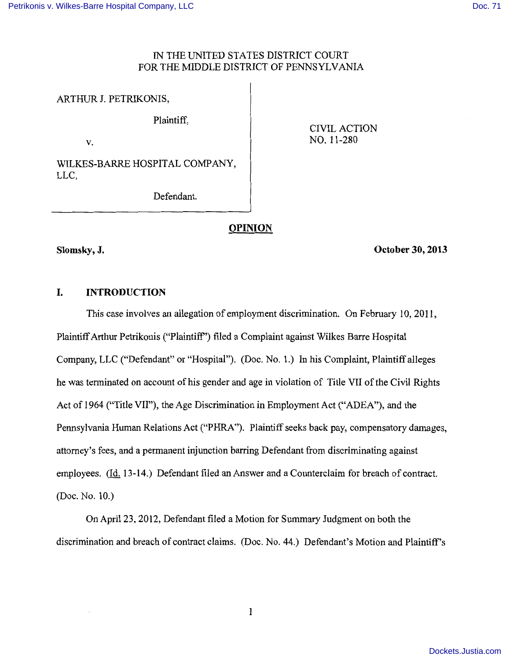## IN THE UNITED STATES DISTRICT COURT FOR THE MIDDLE DISTRICT OF PENNSYLVANIA

ARTHUR J. PETRIKONIS,

Plaintiff,

v.

CIVIL ACTION NO. 11-280

WILKES-BARRE HOSPITAL COMPANY, LLC,

Defendant.

# **OPINION**

## **Slomsky, J.**

**October 30, 2013** 

## **I. INTRODUCTION**

This case involves an allegation of employment discrimination. On February 10, 2011, Plaintiff Arthur Petrikonis ("Plaintiff') filed a Complaint against Wilkes Barre Hospital Company, LLC ("Defendant" or "Hospital"). (Doc. No. 1.) In his Complaint, Plaintiff alleges he was terminated on account of his gender and age in violation of Title VII of the Civil Rights Act of 1964 ("Title VII"), the Age Discrimination in Employment Act ("ADEA"), and the Pennsylvania Human Relations Act ("PHRA"). Plaintiff seeks back pay, compensatory damages, attorney's fees, and a permanent injunction barring Defendant from discriminating against employees. (Id. 13-14.) Defendant filed an Answer and a Counterclaim for breach of contract. (Doc. No. 10.)

On April 23, 2012, Defendant filed a Motion for Summary Judgment on both the discrimination and breach of contract claims. (Doc. No. 44.) Defendant's Motion and Plaintiff's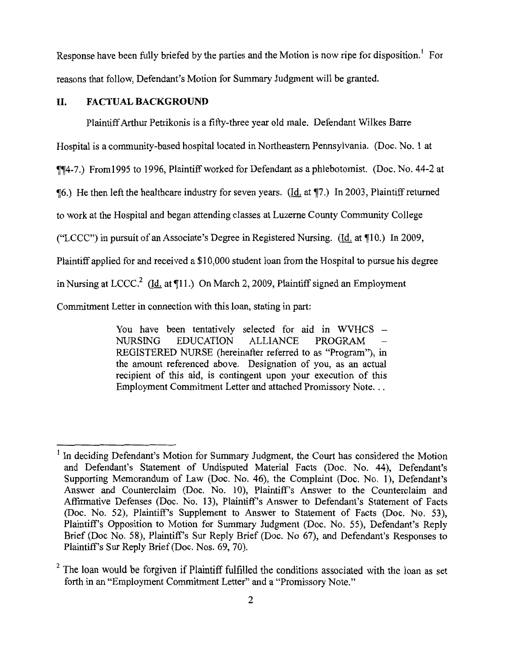Response have been fully briefed by the parties and the Motion is now ripe for disposition.<sup>1</sup> For reasons that follow, Defendant's Motion for Summary Judgment will be granted.

## **II. FACTUAL BACKGROUND**

Plaintiff Arthur Petrikonis is a fifty-three year old male. Defendant Wilkes Barre

Hospital is a community-based hospital located in Northeastern Pennsylvania. (Doc. No. 1 at

ifif4-7.) From1995 to 1996, Plaintiff worked for Defendant as a phlebotomist. (Doc. No. 44-2 at

**[6.]** He then left the healthcare industry for seven years. (Id. at 17.) In 2003, Plaintiff returned

to work at the Hospital and began attending classes at Luzerne County Community College

("LCCC") in pursuit of an Associate's Degree in Registered Nursing. (Id. at 10.) In 2009,

Plaintiff applied for and received a \$10,000 student loan from the Hospital to pursue his degree

in Nursing at LCCC.<sup>2</sup> (Id. at 11.) On March 2, 2009, Plaintiff signed an Employment

Commitment Letter in connection with this loan, stating in part:

You have been tentatively selected for aid in WVHCS  $-$ NURSING EDUCATION ALLIANCE PROGRAM REGISTERED NURSE (hereinafter referred to as "Program"), in the amount referenced above. Designation of you, as an actual recipient of this aid, is contingent upon your execution of this Employment Commitment Letter and attached Promissory Note...

In deciding Defendant's Motion for Summary Judgment, the Court has considered the Motion and Defendant's Statement of Undisputed Material Facts (Doc. No. 44), Defendant's Supporting Memorandum of Law (Doc. No. 46), the Complaint (Doc. No. 1), Defendant's Answer and Counterclaim (Doc. No. 10), Plaintiff's Answer to the Counterclaim and Affirmative Defenses (Doc. No. 13), Plaintiff's Answer to Defendant's Statement of Facts (Doc. No. 52), Plaintiff's Supplement to Answer to Statement of Facts (Doc. No. 53), Plaintiff's Opposition to Motion for Summary Judgment (Doc. No. 55), Defendant's Reply Brief (Doc No. 58), Plaintiff's Sur Reply Brief (Doc. No 67), and Defendant's Responses to Plaintiff's Sur Reply Brief (Doc. Nos. 69, 70).

 $2^2$  The loan would be forgiven if Plaintiff fulfilled the conditions associated with the loan as set forth in an "Employment Commitment Letter" and a "Promissory Note."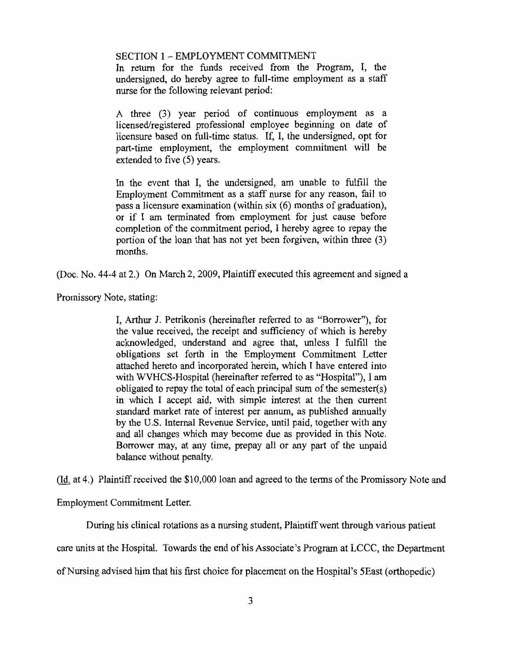SECTION 1 - EMPLOYMENT COMMITMENT

In return for the funds received from the Program, I, the undersigned, do hereby agree to full-time employment as a staff nurse for the following relevant period:

A three (3) year period of continuous employment as a licensed/registered professional employee beginning on date of licensure based on full-time status. If, I, the undersigned, opt for part-time employment, the employment commitment will be extended to five (5) years.

In the event that I, the undersigned, am unable to fulfill the Employment Commitment as a staff nurse for any reason, fail to pass a licensure examination (within six (6) months of graduation), or if I am terminated from employment for just cause before completion of the commitment period, I hereby agree to repay the portion of the loan that has not yet been forgiven, within three (3) months.

(Doc. No. 44-4 at 2.) On March 2, 2009, Plaintiff executed this agreement and signed a

Promissory Note, stating:

I, Arthur J. Petrikonis (hereinafter referred to as "Borrower"), for the value received, the receipt and sufficiency of which is hereby acknowledged, understand and agree that, unless I fulfill the obligations set forth in the Employment Commitment Letter attached hereto and incorporated herein, which I have entered into with WVHCS-Hospital (hereinafter referred to as "Hospital"), I am obligated to repay the total of each principal sum of the semester(s) in which I accept aid, with simple interest at the then current standard market rate of interest per annum, as published annually by the U.S. Internal Revenue Service, until paid, together with any and all changes which may become due as provided in this Note. Borrower may, at any time, prepay all or any part of the unpaid balance without penalty.

(Id. at 4.) Plaintiff received the \$10,000 loan and agreed to the terms of the Promissory Note and

Employment Commitment Letter.

During his clinical rotations as a nursing student, Plaintiff went through various patient

care units at the Hospital. Towards the end of his Associate's Program at LCCC, the Department

of Nursing advised him that his first choice for placement on the Hospital's 5East (orthopedic)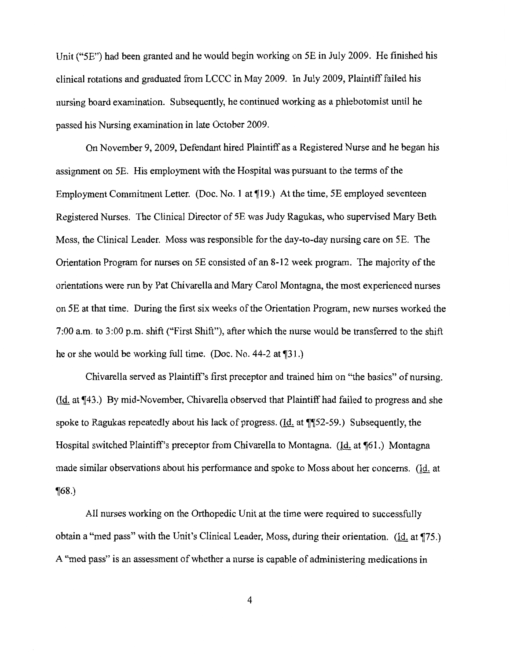Unit ("5E") had been granted and he would begin working on 5E in July 2009. He finished his clinical rotations and graduated from LCCC in May 2009. In July 2009, Plaintiff failed his nursing board examination. Subsequently, he continued working as a phlebotomist until he passed his Nursing examination in late October 2009.

On November 9, 2009, Defendant hired Plaintiff as a Registered Nurse and he began his assignment on 5E. His employment with the Hospital was pursuant to the terms of the Employment Commitment Letter. (Doc. No. 1 at  $\P$ 19.) At the time, 5E employed seventeen Registered Nurses. The Clinical Director of 5E was Judy Ragukas, who supervised Mary Beth Moss, the Clinical Leader. Moss was responsible for the day-to-day nursing care on 5E. The Orientation Program for nurses on 5E consisted of an 8-12 week program. The majority of the orientations were run by Pat Chivarella and Mary Carol Montagna, the most experienced nurses on 5E at that time. During the first six weeks of the Orientation Program, new nurses worked the 7:00 a.m. to 3:00 p.m. shift ("First Shift"), after which the nurse would be transferred to the shift he or she would be working full time. (Doc. No. 44-2 at ¶31.)

Chivarella served as Plaintiff's first preceptor and trained him on "the basics" of nursing. (Id. at  $\P$ 43.) By mid-November, Chivarella observed that Plaintiff had failed to progress and she spoke to Ragukas repeatedly about his lack of progress. ( $\underline{Id}$ , at  $\P$  $[52-59]$ .) Subsequently, the Hospital switched Plaintiff's preceptor from Chivarella to Montagna. (Id. at ¶61.) Montagna made similar observations about his performance and spoke to Moss about her concerns. (Id. at  $\P(68.)$ 

All nurses working on the Orthopedic Unit at the time were required to successfully obtain a "med pass" with the Unit's Clinical Leader, Moss, during their orientation. (Id. at A "med pass" is an assessment of whether a nurse is capable of administering medications in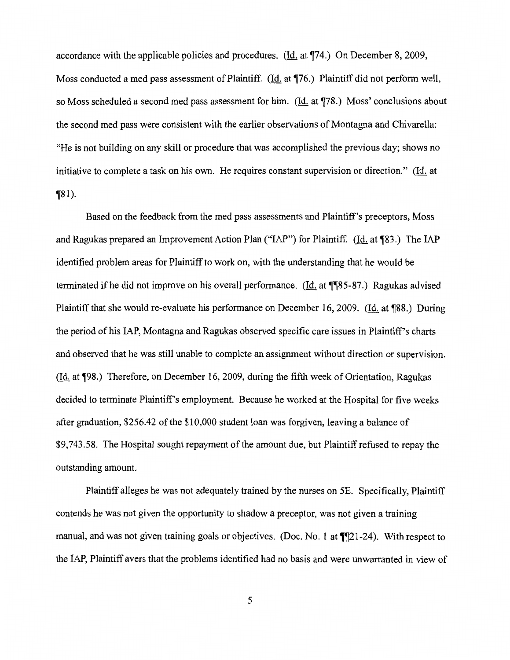accordance with the applicable policies and procedures. (Id. at  $\P$ 74.) On December 8, 2009, Moss conducted a med pass assessment of Plaintiff. (Id. at  $\P$ 76.) Plaintiff did not perform well, so Moss scheduled a second med pass assessment for him. (Id. at ¶78.) Moss' conclusions about the second med pass were consistent with the earlier observations of Montagna and Chivarella: "He is not building on any skill or procedure that was accomplished the previous day; shows no initiative to complete a task on his own. He requires constant supervision or direction." (Id. at  $\P(81)$ .

Based on the feedback from the med pass assessments and Plaintiff's preceptors, Moss and Ragukas prepared an Improvement Action Plan ("IAP") for Plaintiff. (Id. at  $\P$ 83.) The IAP identified problem areas for Plaintiff to work on, with the understanding that he would be terminated if he did not improve on his overall performance. (Id. at  $\P$  $[85-87]$ ) Ragukas advised Plaintiff that she would re-evaluate his performance on December 16, 2009. (Id. at ¶88.) During the period of his IAP, Montagna and Ragukas observed specific care issues in Plaintiff's charts and observed that he was still unable to complete an assignment without direction or supervision.  $(Id. at \mathcal{F}98.)$  Therefore, on December 16, 2009, during the fifth week of Orientation, Ragukas decided to terminate Plaintiff's employment. Because he worked at the Hospital for five weeks after graduation, \$256.42 of the \$10,000 student loan was forgiven, leaving a balance of \$9,743.58. The Hospital sought repayment of the amount due, but Plaintiff refused to repay the outstanding amount.

Plaintiff alleges he was not adequately trained by the nurses on 5E. Specifically, Plaintiff contends he was not given the opportunity to shadow a preceptor, was not given a training manual, and was not given training goals or objectives. (Doc. No. 1 at  $\P$  $[21-24)$ ). With respect to the IAP, Plaintiff avers that the problems identified had no basis and were unwarranted in view of

5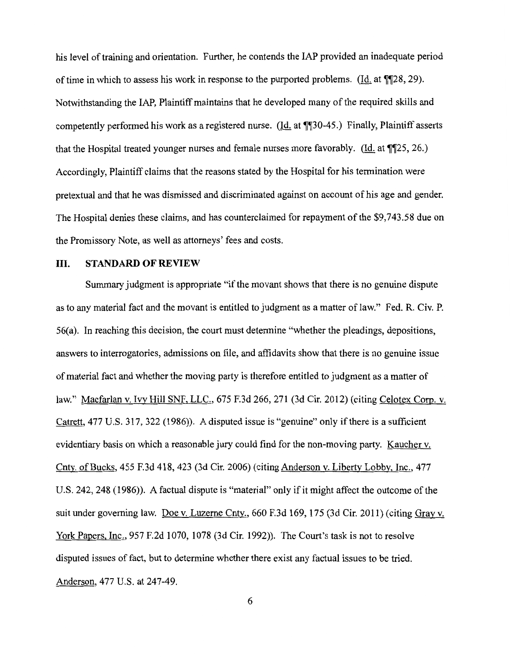his level of training and orientation. Further, he contends the IAP provided an inadequate period of time in which to assess his work in response to the purported problems. (Id. at  $\P$ 28, 29). Notwithstanding the IAP, Plaintiff maintains that he developed many of the required skills and competently performed his work as a registered nurse. (Id. at  $\P$ [30-45.) Finally, Plaintiff asserts that the Hospital treated younger nurses and female nurses more favorably. (Id. at  $\P$ [25, 26.) Accordingly, Plaintiff claims that the reasons stated by the Hospital for his termination were pretextual and that he was dismissed and discriminated against on account of his age and gender. The Hospital denies these claims, and has counterclaimed for repayment of the \$9,743.58 due on the Promissory Note, as well as attorneys' fees and costs.

### III. **STANDARD OF REVIEW**

Summary judgment is appropriate "if the movant shows that there is no genuine dispute as to any material fact and the movant is entitled to judgment as a matter of law." Fed. R. Civ. P. 56(a). In reaching this decision, the court must determine "whether the pleadings, depositions, answers to interrogatories, admissions on file, and affidavits show that there is no genuine issue of material fact and whether the moving party is therefore entitled to judgment as a matter of law." Macfarlan v. Ivy Hill SNF, LLC., 675 F.3d 266, 271 (3d Cir. 2012) (citing Celotex Corp. v. Catrett, 477 U.S. 317, 322 (1986)). A disputed issue is "genuine" only if there is a sufficient evidentiary basis on which a reasonable jury could find for the non-moving party. Kaucher v. Cnty. of Bucks, 455 F.3d 418, 423 (3d Cir. 2006) (citing Anderson v. Liberty Lobby, Inc., 4 77 U.S. 242, 248 (1986)). A factual dispute is "material" only if it might affect the outcome of the suit under governing law. Doe v. Luzerne Cnty., 660 F.3d 169, 175 (3d Cir. 2011) (citing Gray v. York Papers, Inc., 957 F.2d 1070, 1078 (3d Cir. 1992)). The Court's task is not to resolve disputed issues of fact, but to determine whether there exist any factual issues to be tried. Anderson, 477 U.S. at 247-49.

6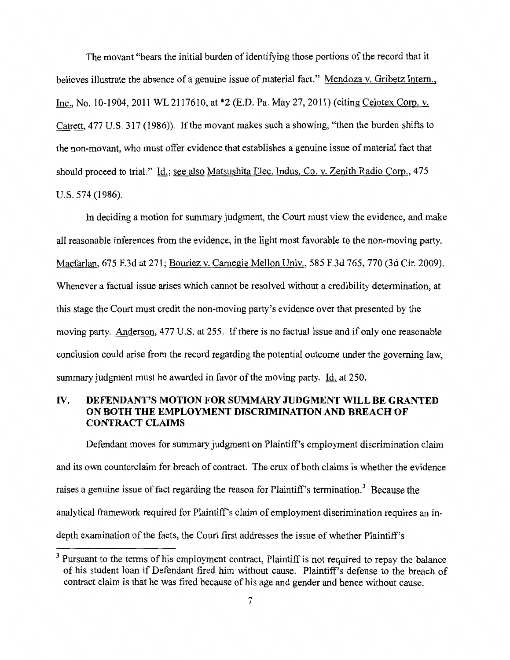The movant "bears the initial burden of identifying those portions of the record that it believes illustrate the absence of a genuine issue of material fact." Mendoza v. Gribetz Intern., Inc., No. 10-1904, 2011 WL 2117610, at \*2 (E.D. Pa. May 27, 2011) (citing Celotex Corp. v. Catrett, 477 U.S. 317 (1986)). If the movant makes such a showing, "then the burden shifts to the non-movant, who must offer evidence that establishes a genuine issue of material fact that should proceed to trial." Id.; see also Matsushita Elec. Indus. Co. v. Zenith Radio Corp., 475 U.S. 574 (1986).

In deciding a motion for summary judgment, the Court must view the evidence, and make all reasonable inferences from the evidence, in the light most favorable to the non-moving party. Macfarlan, 675 F.3d at 271; Bouriez v. Carnegie Mellon Univ., 585 F.3d 765, 770 (3d Cir. 2009). Whenever a factual issue arises which cannot be resolved without a credibility determination, at this stage the Court must credit the non-moving party's evidence over that presented by the moving party. Anderson, 477 U.S. at 255. If there is no factual issue and if only one reasonable conclusion could arise from the record regarding the potential outcome under the governing law, summary judgment must be awarded in favor of the moving party. Id. at 250.

## IV. **DEFENDANT'S MOTION FOR SUMMARY JUDGMENT WILL BE GRANTED ON BOTH THE EMPLOYMENT DISCRIMINATION AND BREACH OF CONTRACT CLAIMS**

Defendant moves for summary judgment on Plaintiff's employment discrimination claim and its own counterclaim for breach of contract. The crux of both claims is whether the evidence raises a genuine issue of fact regarding the reason for Plaintiff's termination.<sup>3</sup> Because the analytical framework required for Plaintiff's claim of employment discrimination requires an indepth examination of the facts, the Court first addresses the issue of whether Plaintiff's

<sup>&</sup>lt;sup>3</sup> Pursuant to the terms of his employment contract, Plaintiff is not required to repay the balance of his student loan if Defendant fired him without cause. Plaintiff's defense to the breach of contract claim is that he was fired because of his age and gender and hence without cause.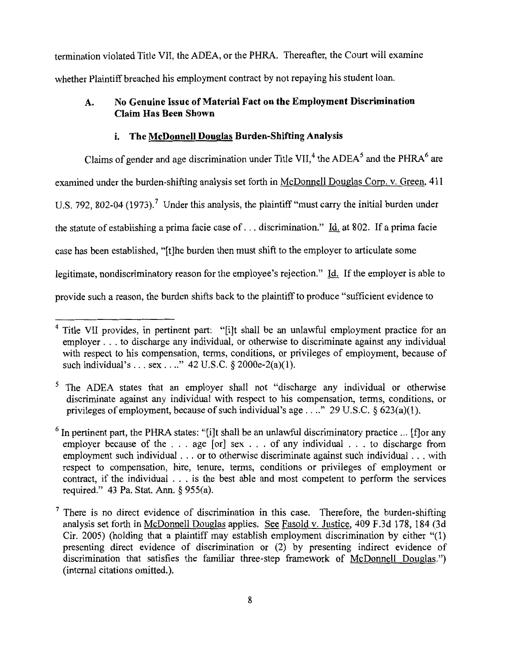termination violated Title VII, the ADEA, or the PHRA. Thereafter, the Court will examine whether Plaintiff breached his employment contract by not repaying his student loan.

## **A. No Genuine Issue of Material Fact on the Employment Discrimination Claim Has Been Shown**

### **i. The McDonnell Douglas Burden-Shifting Analysis**

Claims of gender and age discrimination under Title VII,<sup>4</sup> the ADEA<sup>5</sup> and the PHRA<sup>6</sup> are examined under the burden-shifting analysis set forth in McDonnell Douglas Corp. v. Green, 411 U.S. 792, 802-04 (1973).<sup>7</sup> Under this analysis, the plaintiff "must carry the initial burden under the statute of establishing a prima facie case of ... discrimination." Id. at 802. If a prima facie case has been established, "[t]he burden then must shift to the employer to articulate some legitimate, nondiscriminatory reason for the employee's rejection." Id. If the employer is able to provide such a reason, the burden shifts back to the plaintiff to produce "sufficient evidence to

<sup>&</sup>lt;sup>4</sup> Title VII provides, in pertinent part: "[i]t shall be an unlawful employment practice for an employer ... to discharge any individual, or otherwise to discriminate against any individual with respect to his compensation, terms, conditions, or privileges of employment, because of such individual's . . . sex . . .." 42 U.S.C. § 2000e-2(a)(1).

<sup>&</sup>lt;sup>5</sup> The ADEA states that an employer shall not "discharge any individual or otherwise discriminate against any individual with respect to his compensation, terms, conditions, or privileges of employment, because of such individual's age  $\dots$ ." 29 U.S.C. § 623(a)(1).

 $<sup>6</sup>$  In pertinent part, the PHRA states: "[i]t shall be an unlawful discriminatory practice ... [f] or any</sup> employer because of the ... age [or] sex ... of any individual ... to discharge from employment such individual ... or to otherwise discriminate against such individual ... with respect to compensation, hire, tenure, terms, conditions or privileges of employment or contract, if the individual . . . is the best able and most competent to perform the services required." 43 Pa. Stat. Ann. § 955(a).

 $<sup>7</sup>$  There is no direct evidence of discrimination in this case. Therefore, the burden-shifting</sup> analysis set forth in McDonnell Douglas applies. See Fasold v. Justice, 409 F.3d 178, 184 (3d Cir. 2005) (holding that a plaintiff may establish employment discrimination by either **"(1)**  presenting direct evidence of discrimination or (2) by presenting indirect evidence of discrimination that satisfies the familiar three-step framework of McDonnell Douglas.") (internal citations omitted.).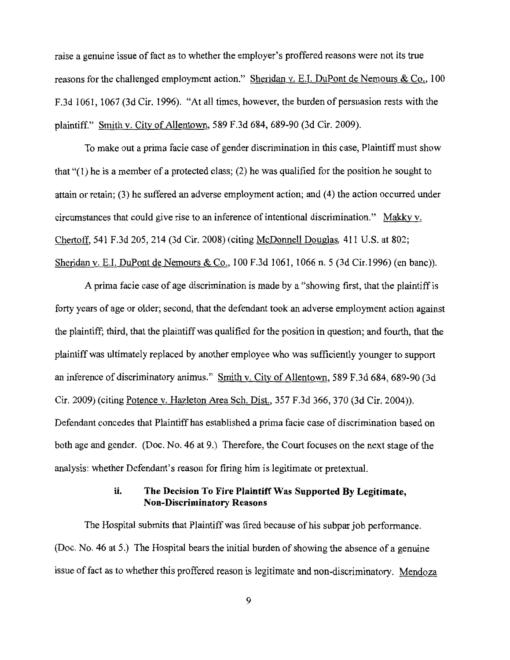raise a genuine issue of fact as to whether the employer's proffered reasons were not its true reasons for the challenged employment action." Sheridan v. E.I. DuPont de Nemours & Co., 100 F.3d 1061, 1067 (3d Cir. 1996). "At all times, however, the burden of persuasion rests with the plaintiff." Smith v. City of Allentown, 589 F.3d 684, 689-90 (3d Cir. 2009).

To make out a prima facie case of gender discrimination in this case, Plaintiff must show that "(I) he is a member of a protected class; (2) he was qualified for the position he sought to attain or retain; (3) he suffered an adverse employment action; and (4) the action occurred under circumstances that could give rise to an inference of intentional discrimination." Makky v. Chertoff, 541 F.3d 205, 214 (3d Cir. 2008) (citing McDonnell Douglas, 411 U.S. at 802; Sheridan v. E.I. DuPont de Nemours & Co., 100 F.3d 1061, 1066 n. 5 (3d Cir.1996) (en bane)).

A prima facie case of age discrimination is made by a "showing first, that the plaintiff is forty years of age or older; second, that the defendant took an adverse employment action against the plaintiff; third, that the plaintiff was qualified for the position in question; and fourth, that the plaintiff was ultimately replaced by another employee who was sufficiently younger to support an inference of discriminatory animus." Smith v. City of Allentown, 589 F.3d 684, 689-90 (3d Cir. 2009) (citing Potence v. Hazleton Area Sch. Dist., 357 F.3d 366, 370 (3d Cir. 2004)). Defendant concedes that Plaintiff has established a prima facie case of discrimination based on both age and gender. (Doc. No. 46 at 9.) Therefore, the Court focuses on the next stage of the analysis: whether Defendant's reason for firing him is legitimate or pretextual.

### ii. The Decision To Fire Plaintiff Was Supported By Legitimate, Non-Discriminatory Reasons

The Hospital submits that Plaintiff was fired because of his subpar job performance. (Doc. No. 46 at 5.) The Hospital bears the initial burden of showing the absence of a genuine issue of fact as to whether this proffered reason is legitimate and non-discriminatory. Mendoza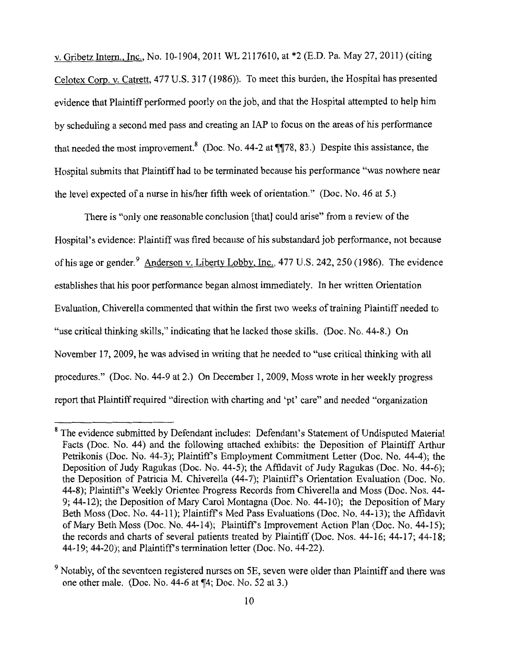v. Gribetz Intern., Inc., No. 10-1904, 2011 WL 2117610, at \*2 (E.D. Pa. May 27, 2011) (citing Celotex Corp. v. Catrett, 477 U.S. 317 (1986)). To meet this burden, the Hospital has presented evidence that Plaintiff performed poorly on the job, and that the Hospital attempted to help him by scheduling a second med pass and creating an IAP to focus on the areas of his performance that needed the most improvement.<sup>8</sup> (Doc. No. 44-2 at  $\P$  $78, 83$ .) Despite this assistance, the Hospital submits that Plaintiff had to be terminated because his performance "was nowhere near the level expected of a nurse in his/her fifth week of orientation." (Doc. No. 46 at 5.)

There is "only one reasonable conclusion [that] could arise" from a review of the Hospital's evidence: Plaintiff was fired because of his substandard job performance, not because of his age or gender.<sup>9</sup> Anderson v. Liberty Lobby, Inc., 477 U.S. 242, 250 (1986). The evidence establishes that his poor performance began almost immediately. In her written Orientation Evaluation, Chiverella commented that within the first two weeks of training Plaintiff needed to "use critical thinking skills," indicating that he lacked those skills. (Doc. No. 44-8.) On November 17, 2009, he was advised in writing that he needed to "use critical thinking with all procedures." (Doc. No. 44-9 at 2.) On December 1, 2009, Moss wrote in her weekly progress report that Plaintiff required "direction with charting and 'pt' care" and needed "organization

<sup>&</sup>lt;sup>8</sup> The evidence submitted by Defendant includes: Defendant's Statement of Undisputed Material Facts (Doc. No. 44) and the following attached exhibits: the Deposition of Plaintiff Arthur Petrikonis (Doc. No. 44-3); Plaintiff's Employment Commitment Letter (Doc. No. 44-4); the Deposition of Judy Ragukas (Doc. No. 44-5); the Affidavit of Judy Ragukas (Doc. No. 44-6); the Deposition of Patricia M. Chiverella (44-7); Plaintiff's Orientation Evaluation (Doc. No. 44-8); Plaintiffs Weekly Orientee Progress Records from Chiverella and Moss (Doc. Nos. 44- 9; 44-12); the Deposition of Mary Carol Montagna (Doc. No. 44-10); the Deposition of Mary Beth Moss (Doc. No. 44-11); Plaintiff's Med Pass Evaluations (Doc. No. 44-13); the Affidavit of Mary Beth Moss (Doc. No. 44-14); Plaintiffs Improvement Action Plan (Doc. No. 44-15); the records and charts of several patients treated by Plaintiff (Doc. Nos. 44-16; 44-17; 44-18; 44-19; 44-20); and Plaintiffs termination letter (Doc. No. 44-22).

<sup>&</sup>lt;sup>9</sup> Notably, of the seventeen registered nurses on 5E, seven were older than Plaintiff and there was one other male. (Doc. No.  $44-6$  at  $\P(4;$  Doc. No. 52 at 3.)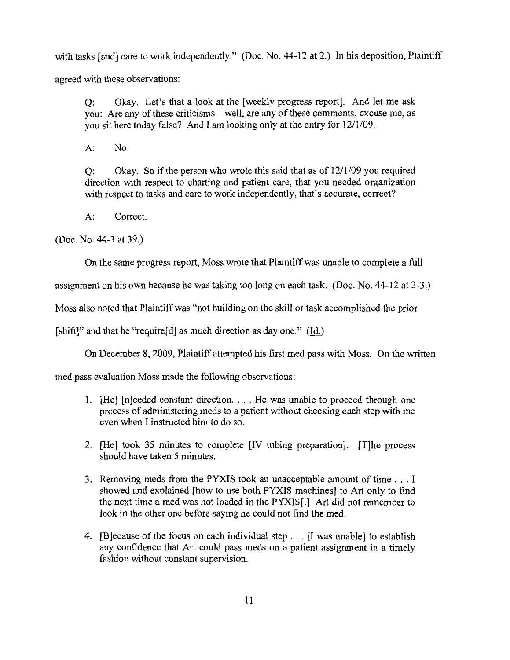with tasks [and] care to work independently." (Doc. No. 44-12 at 2.) In his deposition, Plaintiff agreed with these observations:

Q: Okay. Let's that a look at the [weekly progress report]. And let me ask you: Are any of these criticisms—well, are any of these comments, excuse me, as you sit here today false? And I am looking only at the entry for  $12/1/09$ .

A: No.

 $Q:$  Okay. So if the person who wrote this said that as of  $12/1/09$  you required direction with respect to charting and patient care, that you needed organization with respect to tasks and care to work independently, that's accurate, correct?

A: Correct.

(Doc. No. 44-3 at 39.)

On the same progress report, Moss wrote that Plaintiff was unable to complete a full

assignment on his own because he was taking too long on each task. (Doc. No. 44-12 at 2-3.)

Moss also noted that Plaintiff was "not building on the skill or task accomplished the prior

[shift]" and that he "require[d] as much direction as day one." (Id.)

On December 8, 2009, Plaintiff attempted his first med pass with Moss. On the written

med pass evaluation Moss made the following observations:

- 1. [He] [n]eeded constant direction. . . . He was unable to proceed through one process of administering meds to a patient without checking each step with me even when I instructed him to do so.
- 2. [He] took 35 minutes to complete [IV tubing preparation]. [T]he process should have taken 5 minutes.
- 3. Removing meds from the PYXIS took an unacceptable amount of time ... I showed and explained [how to use both PYXIS machines] to Art only to find the next time a med was not loaded in the PYXIS[.] Art did not remember to look in the other one before saying he could not find the med.
- 4. [B]ecause of the focus on each individual step ... [I was unable] to establish any confidence that Art could pass meds on a patient assignment in a timely fashion without constant supervision.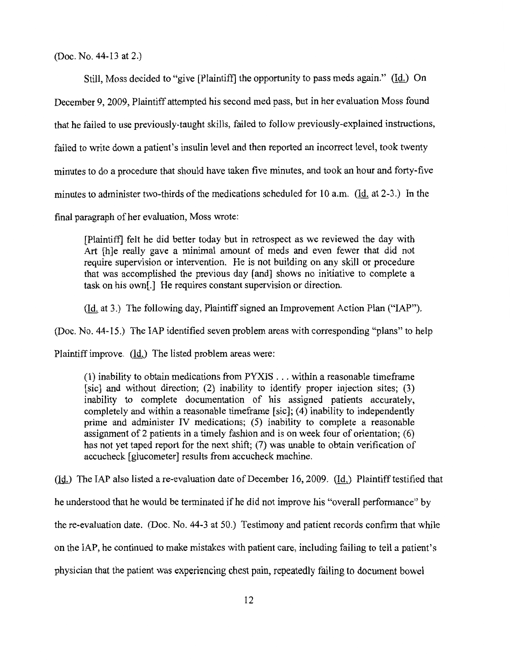(Doc. No. 44-13 at 2.)

Still, Moss decided to "give [Plaintiff] the opportunity to pass meds again." (Id.) On December 9, 2009, Plaintiff attempted his second med pass, but in her evaluation Moss found that he failed to use previously-taught skills, failed to follow previously-explained instructions, failed to write down a patient's insulin level and then reported an incorrect level, took twenty minutes to do a procedure that should have taken five minutes, and took an hour and forty-five minutes to administer two-thirds of the medications scheduled for 10 a.m. ( $\underline{Id}$ , at 2-3.) In the final paragraph of her evaluation, Moss wrote:

[Plaintiff] felt he did better today but in retrospect as we reviewed the day with Art [h]e really gave a minimal amount of meds and even fewer that did not require supervision or intervention. He is not building on any skill or procedure that was accomplished the previous day [and] shows no initiative to complete a task on his own[.] He requires constant supervision or direction.

(Id. at 3.) The following day, Plaintiff signed an Improvement Action Plan ("IAP").

(Doc. No. 44-15.) The IAP identified seven problem areas with corresponding "plans" to help

Plaintiff improve. (Id.) The listed problem areas were:

(1) inability to obtain medications from PYXIS ... within a reasonable timeframe [sic] and without direction; (2) inability to identify proper injection sites; (3) inability to complete documentation of his assigned patients accurately, completely and within a reasonable timeframe [sic]; (4) inability to independently prime and administer IV medications; (5) inability to complete a reasonable assignment of 2 patients in a timely fashion and is on week four of orientation; (6) has not yet taped report for the next shift; (7) was unable to obtain verification of accucheck [glucometer] results from accucheck machine.

(Id.) The IAP also listed a re-evaluation date of December 16, 2009. (Id.) Plaintiff testified that he understood that he would be terminated if he did not improve his "overall performance" by the re-evaluation date. (Doc. No. 44-3 at 50.) Testimony and patient records confirm that while on the IAP, he continued to make mistakes with patient care, including failing to tell a patient's physician that the patient was experiencing chest pain, repeatedly failing to document bowel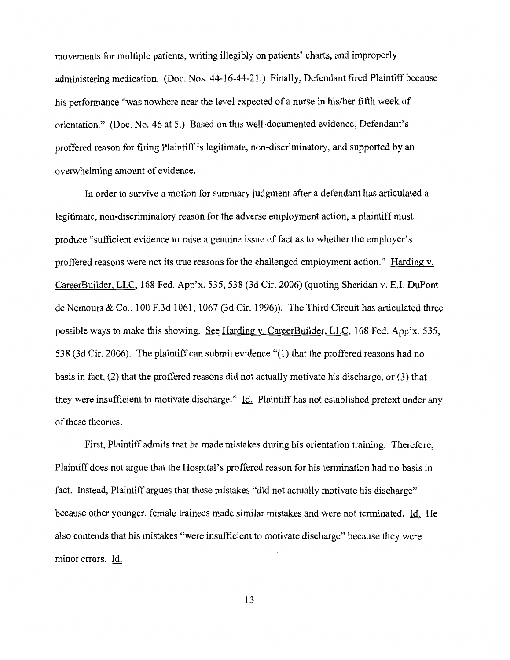movements for multiple patients, writing illegibly on patients' charts, and improperly administering medication. (Doc. Nos. 44-16-44-21.) Finally, Defendant fired Plaintiff because his performance "was nowhere near the level expected of a nurse in his/her fifth week of orientation." (Doc. No. 46 at 5.) Based on this well-documented evidence, Defendant's proffered reason for firing Plaintiff is legitimate, non-discriminatory, and supported by an overwhelming amount of evidence.

In order to survive a motion for summary judgment after a defendant has articulated a legitimate, non-discriminatory reason for the adverse employment action, a plaintiff must produce "sufficient evidence to raise a genuine issue of fact as to whether the employer's proffered reasons were not its true reasons for the challenged employment action." Harding v. CareerBuilder, LLC, 168 Fed. App'x. 535, 538 (3d Cir. 2006) (quoting Sheridan v. E.I. DuPont de Nemours & Co., 100 F.3d 1061, 1067 (3d Cir. 1996)). The Third Circuit has articulated three possible ways to make this showing. See Harding v. CareerBuilder, LLC, 168 Fed. App'x. 535, 538 (3d Cir. 2006). The plaintiff can submit evidence "(1) that the proffered reasons had no basis in fact, (2) that the proffered reasons did not actually motivate his discharge, or (3) that they were insufficient to motivate discharge." Id. Plaintiff has not established pretext under any of these theories.

First, Plaintiff admits that he made mistakes during his orientation training. Therefore, Plaintiff does not argue that the Hospital's proffered reason for his termination had no basis in fact. Instead, Plaintiff argues that these mistakes "did not actually motivate his discharge" because other younger, female trainees made similar mistakes and were not terminated. Id. He also contends that his mistakes "were insufficient to motivate discharge" because they were minor errors. Id.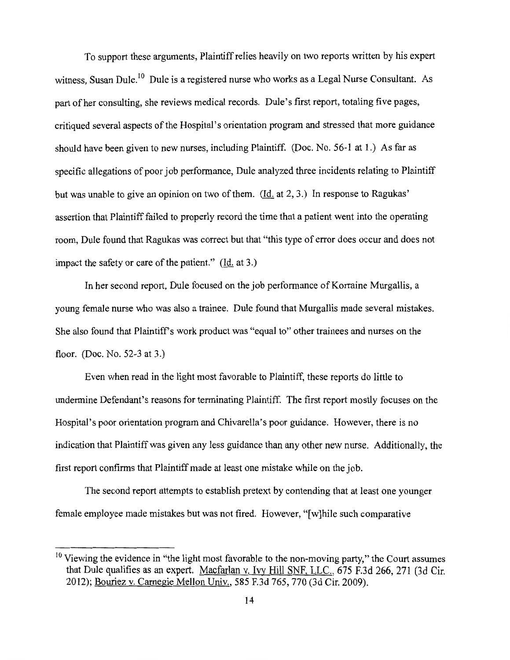To support these arguments, Plaintiff relies heavily on two reports written by his expert witness, Susan Dule.<sup>10</sup> Dule is a registered nurse who works as a Legal Nurse Consultant. As part of her consulting, she reviews medical records. Dule's first report, totaling five pages, critiqued several aspects of the Hospital's orientation program and stressed that more guidance should have been given to new nurses, including Plaintiff. (Doc. No. 56-1 at 1.) As far as specific allegations of poor job performance, Dule analyzed three incidents relating to Plaintiff but was unable to give an opinion on two of them. (Id. at 2, 3.) In response to Ragukas' assertion that Plaintiff failed to properly record the time that a patient went into the operating room, Dule found that Ragukas was correct but that "this type of error does occur and does not impact the safety or care of the patient." (Id. at 3.)

In her second report, Dule focused on the job performance of Korraine Murgallis, a young female nurse who was also a trainee. Dule found that Murgallis made several mistakes. She also found that Plaintiff's work product was "equal to" other trainees and nurses on the floor. (Doc. No. 52-3 at 3.)

Even when read in the light most favorable to Plaintiff, these reports do little to undermine Defendant's reasons for terminating Plaintiff. The first report mostly focuses on the Hospital's poor orientation program and Chivarella's poor guidance. However, there is no indication that Plaintiff was given any less guidance than any other new nurse. Additionally, the first report confirms that Plaintiff made at least one mistake while on the job.

The second report attempts to establish pretext by contending that at least one younger female employee made mistakes but was not fired. However, "[w]hile such comparative

 $10$  Viewing the evidence in "the light most favorable to the non-moving party," the Court assumes that Dule qualifies as an expert. Macfarlan v. Ivy Hill SNF, LLC., 675 F.3d 266, 271 (3d Cir. 2012); Bouriez v. Carnegie Mellon Univ., 585 F.3d 765, 770 (3d Cir. 2009).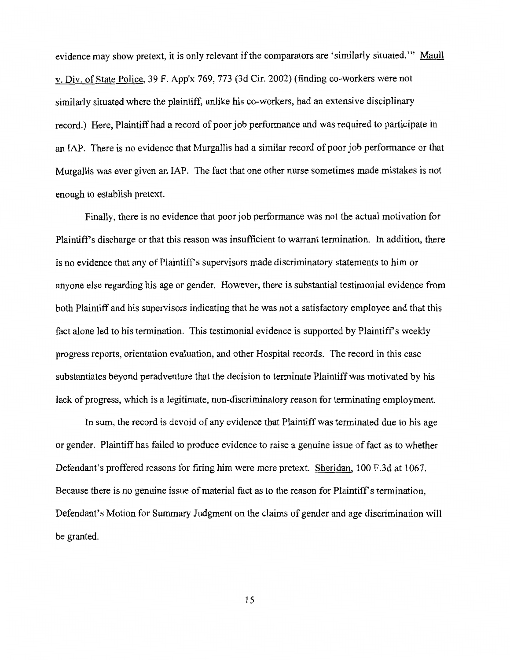evidence may show pretext, it is only relevant if the comparators are 'similarly situated."' Maull v. Div. of State Police, 39 F. App'x 769, 773 (3d Cir. 2002) (finding co-workers were not similarly situated where the plaintiff, unlike his co-workers, had an extensive disciplinary record.) Here, Plaintiff had a record of poor job performance and was required to participate in an IAP. There is no evidence that Murgallis had a similar record of poor job performance or that Murgallis was ever given an IAP. The fact that one other nurse sometimes made mistakes is not enough to establish pretext.

Finally, there is no evidence that poor job performance was not the actual motivation for Plaintiff's discharge or that this reason was insufficient to warrant termination. In addition, there is no evidence that any of Plaintiff's supervisors made discriminatory statements to him or anyone else regarding his age or gender. However, there is substantial testimonial evidence from both Plaintiff and his supervisors indicating that he was not a satisfactory employee and that this fact alone led to his termination. This testimonial evidence is supported by Plaintiff's weekly progress reports, orientation evaluation, and other Hospital records. The record in this case substantiates beyond peradventure that the decision to terminate Plaintiff was motivated by his lack of progress, which is a legitimate, non-discriminatory reason for terminating employment.

In sum, the record is devoid of any evidence that Plaintiff was terminated due to his age or gender. Plaintiff has failed to produce evidence to raise a genuine issue of fact as to whether Defendant's proffered reasons for firing him were mere pretext. Sheridan, 100 F.3d at 1067. Because there is no genuine issue of material fact as to the reason for Plaintiff's termination, Defendant's Motion for Summary Judgment on the claims of gender and age discrimination will be granted.

15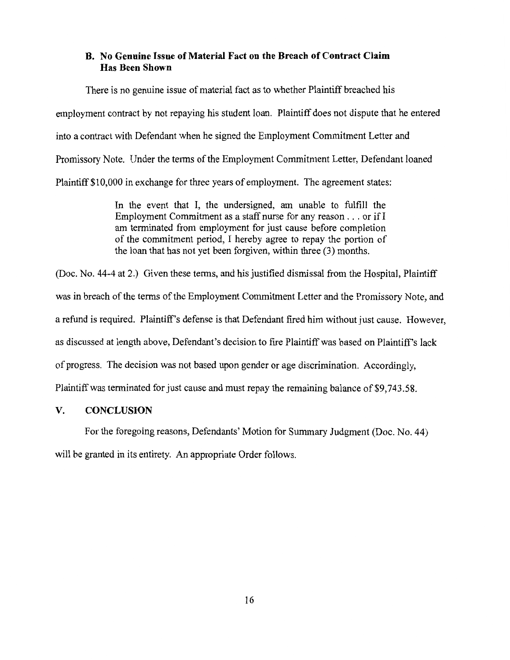## **B. No Genuine Issue of Material Fact on the Breach of Contract Claim Has Been Shown**

There is no genuine issue of material fact as to whether Plaintiff breached his employment contract by not repaying his student loan. Plaintiff does not dispute that he entered into a contract with Defendant when he signed the Employment Commitment Letter and Promissory Note. Under the terms of the Employment Commitment Letter, Defendant loaned Plaintiff \$10,000 in exchange for three years of employment. The agreement states:

> In the event that I, the undersigned, am unable to fulfill the Employment Commitment as a staff nurse for any reason ... or if I am terminated from employment for just cause before completion of the commitment period, I hereby agree to repay the portion of the loan that has not yet been forgiven, within three (3) months.

(Doc. No. 44-4 at 2.) Given these terms, and his justified dismissal from the Hospital, Plaintiff was in breach of the terms of the Employment Commitment Letter and the Promissory Note, and a refund is required. Plaintiff's defense is that Defendant fired him without just cause. However, as discussed at length above, Defendant's decision to fire Plaintiff was based on Plaintiff's lack of progress. The decision was not based upon gender or age discrimination. Accordingly, Plaintiff was terminated for just cause and must repay the remaining balance of \$9,743.58.

#### **V. CONCLUSION**

For the foregoing reasons, Defendants' Motion for Summary Judgment (Doc. No. 44) will be granted in its entirety. An appropriate Order follows.